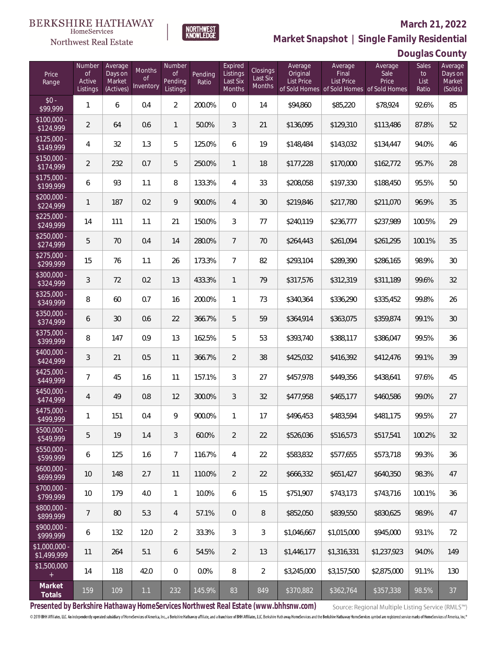### Northwest Real Estate

#### **March 21, 2022**

**Market Snapshot | Single Family Residential**

### **Douglas County**

| Price<br>Range                    | Number<br><b>of</b><br>Active<br>Listings | Average<br>Days on<br>Market<br>(Actives) | Months<br><b>of</b><br>Inventory | Number<br><b>of</b><br>Pending<br>Listings | Pending<br>Ratio | Expired<br>Listings<br>Last Six<br>Months | <b>Closings</b><br>Last Six<br>Months | Average<br>Original<br><b>List Price</b> | Average<br>Final<br><b>List Price</b><br>of Sold Homes of Sold Homes of Sold Homes | Average<br>Sale<br>Price | Sales<br>to<br>List<br>Ratio | Average<br>Days on<br>Market<br>(Solds) |
|-----------------------------------|-------------------------------------------|-------------------------------------------|----------------------------------|--------------------------------------------|------------------|-------------------------------------------|---------------------------------------|------------------------------------------|------------------------------------------------------------------------------------|--------------------------|------------------------------|-----------------------------------------|
| $$0 -$<br>\$99,999                | 1                                         | 6                                         | 0.4                              | $\overline{2}$                             | 200.0%           | $\overline{0}$                            | 14                                    | \$94,860                                 | \$85,220                                                                           | \$78,924                 | 92.6%                        | 85                                      |
| $$100,000 -$<br>$\sqrt{$124,999}$ | $\overline{2}$                            | 64                                        | 0.6                              | $\mathbf{1}$                               | 50.0%            | 3                                         | 21                                    | \$136,095                                | \$129,310                                                                          | \$113,486                | 87.8%                        | 52                                      |
| $$125,000 -$<br>\$149,999         | 4                                         | 32                                        | 1.3                              | 5                                          | 125.0%           | 6                                         | 19                                    | \$148,484                                | \$143,032                                                                          | \$134,447                | 94.0%                        | 46                                      |
| $$150,000 -$<br>\$174,999         | $\overline{2}$                            | 232                                       | 0.7                              | 5                                          | 250.0%           | $\mathbf{1}$                              | 18                                    | \$177,228                                | \$170,000                                                                          | \$162,772                | 95.7%                        | 28                                      |
| $$175,000 -$<br>\$199,999         | 6                                         | 93                                        | 1.1                              | 8                                          | 133.3%           | $\overline{4}$                            | 33                                    | \$208,058                                | \$197,330                                                                          | \$188,450                | 95.5%                        | 50                                      |
| $$200,000 -$<br>\$224,999         | $\mathbf{1}$                              | 187                                       | 0.2                              | 9                                          | 900.0%           | $\overline{4}$                            | 30                                    | \$219,846                                | \$217,780                                                                          | \$211,070                | 96.9%                        | 35                                      |
| $$225,000 -$<br>\$249,999         | 14                                        | 111                                       | 1.1                              | 21                                         | 150.0%           | 3                                         | 77                                    | \$240,119                                | \$236,777                                                                          | \$237,989                | 100.5%                       | 29                                      |
| $$250,000 -$<br>\$274,999         | 5                                         | 70                                        | 0.4                              | 14                                         | 280.0%           | $\overline{7}$                            | 70                                    | \$264,443                                | \$261,094                                                                          | \$261,295                | 100.1%                       | 35                                      |
| $$275,000 -$<br>\$299,999         | 15                                        | 76                                        | 1.1                              | 26                                         | 173.3%           | $\overline{7}$                            | 82                                    | \$293,104                                | \$289,390                                                                          | \$286,165                | 98.9%                        | 30                                      |
| $$300,000 -$<br>\$324,999         | 3                                         | 72                                        | 0.2                              | 13                                         | 433.3%           | $\mathbf{1}$                              | 79                                    | \$317,576                                | \$312,319                                                                          | \$311,189                | 99.6%                        | 32                                      |
| $$325,000 -$<br>\$349,999         | 8                                         | 60                                        | 0.7                              | 16                                         | 200.0%           | $\mathbf{1}$                              | 73                                    | \$340,364                                | \$336,290                                                                          | \$335,452                | 99.8%                        | 26                                      |
| $$350,000 -$<br>\$374,999         | 6                                         | 30                                        | 0.6                              | 22                                         | 366.7%           | 5                                         | 59                                    | \$364,914                                | \$363,075                                                                          | \$359,874                | 99.1%                        | 30                                      |
| $$375,000 -$<br>\$399,999         | 8                                         | 147                                       | 0.9                              | 13                                         | 162.5%           | 5                                         | 53                                    | \$393,740                                | \$388,117                                                                          | \$386,047                | 99.5%                        | 36                                      |
| $$400,000 -$<br>\$424,999         | 3                                         | 21                                        | 0.5                              | 11                                         | 366.7%           | $\overline{2}$                            | 38                                    | \$425,032                                | \$416,392                                                                          | \$412,476                | 99.1%                        | 39                                      |
| $$425,000 -$<br>\$449,999         | $\overline{7}$                            | 45                                        | 1.6                              | 11                                         | 157.1%           | 3                                         | 27                                    | \$457,978                                | \$449,356                                                                          | \$438,641                | 97.6%                        | 45                                      |
| $$450,000 -$<br>\$474,999         | 4                                         | 49                                        | 0.8                              | 12                                         | 300.0%           | 3                                         | 32                                    | \$477,958                                | \$465,177                                                                          | \$460,586                | 99.0%                        | 27                                      |
| $$475,000 -$<br>\$499,999         | 1                                         | 151                                       | 0.4                              | 9                                          | 900.0%           | $\mathbf{1}$                              | 17                                    | \$496,453                                | \$483,594                                                                          | \$481,175                | 99.5%                        | 27                                      |
| $$500,000 -$<br>\$549,999         | 5                                         | 19                                        | 1.4                              | 3                                          | 60.0%            | $\overline{2}$                            | 22                                    | \$526,036                                | \$516,573                                                                          | \$517,541                | 100.2%                       | 32                                      |
| \$550,000 -<br>\$599,999          | 6                                         | 125                                       | 1.6                              | $\overline{7}$                             | 116.7%           | 4                                         | 22                                    | \$583,832                                | \$577,655                                                                          | \$573,718                | 99.3%                        | 36                                      |
| $$600,000 -$<br>\$699,999         | $10$                                      | 148                                       | 2.7                              | 11                                         | 110.0%           | 2                                         | 22                                    | \$666,332                                | \$651,427                                                                          | \$640,350                | 98.3%                        | 47                                      |
| \$700,000 -<br>\$799,999          | 10                                        | 179                                       | 4.0                              | 1                                          | 10.0%            | 6                                         | 15                                    | \$751,907                                | \$743,173                                                                          | \$743,716                | 100.1%                       | 36                                      |
| \$800,000 -<br>\$899,999          | 7                                         | 80                                        | 5.3                              | 4                                          | 57.1%            | $\overline{0}$                            | 8                                     | \$852,050                                | \$839,550                                                                          | \$830,625                | 98.9%                        | 47                                      |
| \$900,000 -<br>\$999,999          | 6                                         | 132                                       | 12.0                             | $\overline{2}$                             | 33.3%            | 3                                         | 3                                     | \$1,046,667                              | \$1,015,000                                                                        | \$945,000                | 93.1%                        | 72                                      |
| \$1,000,000 -<br>\$1,499,999      | 11                                        | 264                                       | 5.1                              | 6                                          | 54.5%            | $\overline{2}$                            | 13                                    | \$1,446,177                              | \$1,316,331                                                                        | \$1,237,923              | 94.0%                        | 149                                     |
| \$1,500,000<br>$+$                | 14                                        | 118                                       | 42.0                             | $\mathbf 0$                                | 0.0%             | 8                                         | 2                                     | \$3,245,000                              | \$3,157,500                                                                        | \$2,875,000              | 91.1%                        | 130                                     |
| Market<br>Totals                  | 159                                       | 109                                       | 1.1                              | 232                                        | 145.9%           | 83                                        | 849                                   | \$370,882                                | \$362,764                                                                          | \$357,338                | 98.5%                        | 37                                      |

NORTHWEST<br>KNOWLFDGF

**Presented by Berkshire Hathaway HomeServices Northwest Real Estate (www.bhhsnw.com)**

Source: Regional Multiple Listing Service (RMLS™)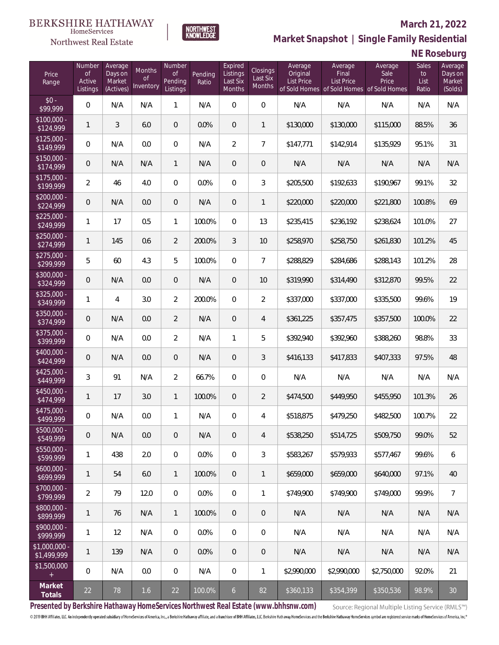# $\begin{array}{llll} \texttt{BERKSHIRE} \texttt{ HATHAWAY} \\ \texttt{\tiny HomeServices} \end{array}$

### Northwest Real Estate

#### **March 21, 2022**



|  | NE Roseburg |  |
|--|-------------|--|
|--|-------------|--|

| Price<br>Range                                  | Number<br><b>of</b><br>Active<br>Listings | Average<br>Days on<br>Market<br>(Actives) | Months<br><b>of</b><br>Inventory | Number<br><b>of</b><br>Pending<br>Listings | Pending<br>Ratio | Expired<br>Listings<br>Last Six<br><b>Months</b> | Closings<br>Last Six<br><b>Months</b> | Average<br>Original<br><b>List Price</b> | Average<br>Final<br><b>List Price</b> | Average<br>Sale<br>Price<br>of Sold Homes of Sold Homes of Sold Homes | <b>Sales</b><br>to<br>List<br>Ratio | Average<br>Days on<br>Market<br>(Solds) |
|-------------------------------------------------|-------------------------------------------|-------------------------------------------|----------------------------------|--------------------------------------------|------------------|--------------------------------------------------|---------------------------------------|------------------------------------------|---------------------------------------|-----------------------------------------------------------------------|-------------------------------------|-----------------------------------------|
| $$0 -$<br>\$99,999                              | 0                                         | N/A                                       | N/A                              | 1                                          | N/A              | 0                                                | $\overline{0}$                        | N/A                                      | N/A                                   | N/A                                                                   | N/A                                 | N/A                                     |
| $$100,000 -$<br>\$124,999                       | $\mathbf{1}$                              | 3                                         | 6.0                              | $\mathsf{O}\xspace$                        | 0.0%             | $\overline{0}$                                   | $\mathbf{1}$                          | \$130,000                                | \$130,000                             | \$115,000                                                             | 88.5%                               | 36                                      |
| $$125,000 -$<br>\$149,999                       | 0                                         | N/A                                       | 0.0                              | $\overline{0}$                             | N/A              | $\overline{2}$                                   | $\overline{7}$                        | \$147,771                                | \$142,914                             | \$135,929                                                             | 95.1%                               | 31                                      |
| $\sqrt{$150,000}$ -<br>\$174,999                | 0                                         | N/A                                       | N/A                              | $\mathbf{1}$                               | N/A              | $\overline{0}$                                   | $\mathbf 0$                           | N/A                                      | N/A                                   | N/A                                                                   | N/A                                 | N/A                                     |
| $$175,000 -$<br>\$199,999                       | $\overline{2}$                            | 46                                        | 4.0                              | $\overline{0}$                             | 0.0%             | $\overline{0}$                                   | 3                                     | \$205,500                                | \$192,633                             | \$190,967                                                             | 99.1%                               | 32                                      |
| $$200,000 -$<br>\$224,999                       | $\mathbf 0$                               | N/A                                       | 0.0                              | $\mathbf 0$                                | N/A              | $\overline{0}$                                   | 1                                     | \$220,000                                | \$220,000                             | \$221,800                                                             | 100.8%                              | 69                                      |
| $$225,000 -$<br>\$249,999                       | 1                                         | 17                                        | 0.5                              | 1                                          | 100.0%           | $\overline{0}$                                   | 13                                    | \$235,415                                | \$236,192                             | \$238,624                                                             | 101.0%                              | 27                                      |
| $$250,000 -$<br>\$274,999                       | $\mathbf{1}$                              | 145                                       | 0.6                              | $\overline{2}$                             | 200.0%           | 3                                                | 10                                    | \$258,970                                | \$258,750                             | \$261,830                                                             | 101.2%                              | 45                                      |
| $$275,000 -$<br>\$299,999                       | 5                                         | 60                                        | 4.3                              | 5                                          | 100.0%           | $\overline{0}$                                   | $\overline{7}$                        | \$288,829                                | \$284,686                             | \$288,143                                                             | 101.2%                              | 28                                      |
| $$300,000 -$<br>\$324,999                       | 0                                         | N/A                                       | 0.0                              | $\overline{0}$                             | N/A              | $\overline{0}$                                   | 10                                    | \$319,990                                | \$314,490                             | \$312,870                                                             | 99.5%                               | 22                                      |
| $$325,000 -$<br>\$349,999                       | 1                                         | 4                                         | 3.0                              | $\overline{2}$                             | 200.0%           | $\overline{0}$                                   | $\overline{2}$                        | \$337,000                                | \$337,000                             | \$335,500                                                             | 99.6%                               | 19                                      |
| $$350,000 -$<br>\$374,999                       | $\mathbf 0$                               | N/A                                       | 0.0                              | $\overline{2}$                             | N/A              | $\overline{0}$                                   | 4                                     | \$361,225                                | \$357,475                             | \$357,500                                                             | 100.0%                              | 22                                      |
| $$375,000 -$<br>399,999                         | 0                                         | N/A                                       | 0.0                              | $\overline{2}$                             | N/A              | 1                                                | 5                                     | \$392,940                                | \$392,960                             | \$388,260                                                             | 98.8%                               | 33                                      |
| $$400,000 -$<br>\$424,999                       | $\mathbf 0$                               | N/A                                       | 0.0                              | $\overline{0}$                             | N/A              | $\overline{0}$                                   | 3                                     | \$416,133                                | \$417,833                             | \$407,333                                                             | 97.5%                               | 48                                      |
| $$425,000 -$<br>\$449,999                       | 3                                         | 91                                        | N/A                              | $\overline{2}$                             | 66.7%            | 0                                                | 0                                     | N/A                                      | N/A                                   | N/A                                                                   | N/A                                 | N/A                                     |
| $$450,000 -$<br>\$474,999                       | $\mathbf{1}$                              | 17                                        | 3.0                              | $\mathbf{1}$                               | 100.0%           | $\overline{0}$                                   | $\overline{2}$                        | \$474,500                                | \$449,950                             | \$455,950                                                             | 101.3%                              | 26                                      |
| $$475,000 -$<br>\$499,999                       | 0                                         | N/A                                       | 0.0                              | 1                                          | N/A              | 0                                                | 4                                     | \$518,875                                | \$479,250                             | \$482,500                                                             | 100.7%                              | 22                                      |
| \$500,000 -<br>\$549,999                        | $\mathsf{O}\xspace$                       | N/A                                       | 0.0                              | $\mathbf 0$                                | N/A              | 0                                                | 4                                     | \$538,250                                | \$514,725                             | \$509,750                                                             | 99.0%                               | 52                                      |
| $$550,000 -$<br>\$599,999                       | 1                                         | 438                                       | 2.0                              | $\overline{0}$                             | 0.0%             | 0                                                | 3                                     | \$583,267                                | \$579,933                             | \$577,467                                                             | 99.6%                               | 6                                       |
| $$600,000 -$<br>\$699,999                       | $\mathbf{1}$                              | 54                                        | 6.0                              | 1                                          | 100.0%           | $\overline{0}$                                   | 1                                     | \$659,000                                | \$659,000                             | \$640,000                                                             | 97.1%                               | 40                                      |
| $$700,000 -$<br>\$799,999                       | $\overline{2}$                            | 79                                        | 12.0                             | $\boldsymbol{0}$                           | 0.0%             | 0                                                | 1                                     | \$749,900                                | \$749,900                             | \$749,000                                                             | 99.9%                               | $\overline{7}$                          |
| \$800,000 -<br>\$899,999                        | $\mathbf{1}$                              | 76                                        | N/A                              | $\mathbf{1}$                               | 100.0%           | $\overline{0}$                                   | 0                                     | N/A                                      | N/A                                   | N/A                                                                   | N/A                                 | N/A                                     |
| $$900,000 -$<br>\$999,999                       | $\mathbf{1}$                              | 12                                        | N/A                              | $\mathbf 0$                                | 0.0%             | 0                                                | $\boldsymbol{0}$                      | N/A                                      | N/A                                   | N/A                                                                   | N/A                                 | N/A                                     |
| \$1,000,000 -<br>\$1,499,999                    | $\mathbf{1}$                              | 139                                       | N/A                              | $\overline{0}$                             | 0.0%             | $\overline{0}$                                   | 0                                     | N/A                                      | N/A                                   | N/A                                                                   | N/A                                 | N/A                                     |
| \$1,500,000<br>$\begin{array}{c} + \end{array}$ | $\mathbf 0$                               | N/A                                       | 0.0                              | 0                                          | N/A              | 0                                                | 1                                     | \$2,990,000                              | \$2,990,000                           | \$2,750,000                                                           | 92.0%                               | 21                                      |
| Market<br>Totals                                | 22                                        | 78                                        | 1.6                              | 22                                         | 100.0%           | $\overline{6}$                                   | 82                                    | \$360,133                                | \$354,399                             | \$350,536                                                             | 98.9%                               | 30                                      |

NORTHWEST<br>KNOWLFDGF

**Presented by Berkshire Hathaway HomeServices Northwest Real Estate (www.bhhsnw.com)**

Source: Regional Multiple Listing Service (RMLS™)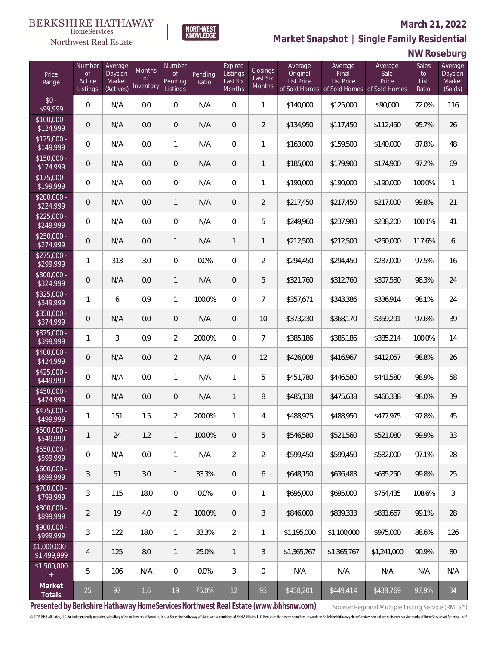### Northwest Real Estate

#### **March 21, 2022**



NORTHWEST<br>KNOWLFDGF

### **NW Roseburg**

| Price<br>Range                | Number<br><b>of</b><br>Active<br>Listings | Average<br>Days on<br>Market<br>(Actives) | <b>Months</b><br><b>of</b><br>Inventory | Number<br>$\mathsf{of}$<br>Pending<br>Listings | Pending<br>Ratio | Expired<br>Listings<br>Last Six<br>Months | Closings<br>Last Six<br>Months | Average<br>Original<br>List Price | Average<br>Final<br>List Price<br>of Sold Homes of Sold Homes of Sold Homes | Average<br>Sale<br>Price | Sales<br>to<br>List<br>Ratio | Average<br>Days on<br>Market<br>(Solds) |
|-------------------------------|-------------------------------------------|-------------------------------------------|-----------------------------------------|------------------------------------------------|------------------|-------------------------------------------|--------------------------------|-----------------------------------|-----------------------------------------------------------------------------|--------------------------|------------------------------|-----------------------------------------|
| $$0 -$<br>\$99,999            | $\overline{0}$                            | N/A                                       | 0.0                                     | $\overline{0}$                                 | N/A              | 0                                         | 1                              | \$140,000                         | \$125,000                                                                   | \$90,000                 | 72.0%                        | 116                                     |
| \$100,000 -<br>\$124,999      | $\overline{0}$                            | N/A                                       | 0.0                                     | $\overline{0}$                                 | N/A              | $\overline{0}$                            | $\overline{2}$                 | \$134,950                         | \$117,450                                                                   | \$112,450                | 95.7%                        | 26                                      |
| $$125,000 -$<br>\$149,999     | $\overline{0}$                            | N/A                                       | 0.0                                     | 1                                              | N/A              | $\overline{0}$                            | 1                              | \$163,000                         | \$159,500                                                                   | \$140,000                | 87.8%                        | 48                                      |
| $$150,000 -$<br>\$174,999     | $\overline{0}$                            | N/A                                       | 0.0                                     | $\overline{0}$                                 | N/A              | $\overline{0}$                            | 1                              | \$185,000                         | \$179,900                                                                   | \$174,900                | 97.2%                        | 69                                      |
| $$175,000 -$<br>\$199,999     | $\overline{0}$                            | N/A                                       | 0.0                                     | $\overline{0}$                                 | N/A              | $\overline{0}$                            | 1                              | \$190,000                         | \$190,000                                                                   | \$190,000                | 100.0%                       | $\mathbf{1}$                            |
| $$200,000 -$<br>\$224,999     | $\overline{0}$                            | N/A                                       | 0.0                                     | $\mathbf{1}$                                   | N/A              | $\overline{0}$                            | $\overline{2}$                 | \$217,450                         | \$217,450                                                                   | \$217,000                | 99.8%                        | 21                                      |
| $$225,000 -$<br>\$249,999     | $\overline{0}$                            | N/A                                       | 0.0                                     | $\overline{0}$                                 | N/A              | $\overline{0}$                            | 5                              | \$249,960                         | \$237,980                                                                   | \$238,200                | 100.1%                       | 41                                      |
| $$250,000 -$<br>\$274,999     | $\overline{0}$                            | N/A                                       | 0.0                                     | $\mathbf{1}$                                   | N/A              | $\mathbf{1}$                              | 1                              | \$212,500                         | \$212,500                                                                   | \$250,000                | 117.6%                       | 6                                       |
| $$275,000 -$<br>\$299,999     | $\mathbf{1}$                              | 313                                       | 3.0                                     | $\overline{0}$                                 | 0.0%             | $\overline{0}$                            | $\overline{2}$                 | \$294,450                         | \$294,450                                                                   | \$287,000                | 97.5%                        | 16                                      |
| $$300,000 -$<br>\$324,999     | $\overline{0}$                            | N/A                                       | 0.0                                     | $\mathbf{1}$                                   | N/A              | $\overline{0}$                            | 5                              | \$321,760                         | \$312,760                                                                   | \$307,580                | 98.3%                        | 24                                      |
| $$325,000 -$<br>\$349,999     | 1                                         | 6                                         | 0.9                                     | $\mathbf{1}$                                   | 100.0%           | $\overline{0}$                            | $\overline{7}$                 | \$357,671                         | \$343,386                                                                   | \$336,914                | 98.1%                        | 24                                      |
| $$350,000 -$<br>\$374,999     | $\mathbf 0$                               | N/A                                       | 0.0                                     | $\overline{0}$                                 | N/A              | $\overline{0}$                            | 10                             | \$373,230                         | \$368,170                                                                   | \$359,291                | 97.6%                        | 39                                      |
| $$375,000 -$<br>\$399,999     | 1                                         | 3                                         | 0.9                                     | $\overline{2}$                                 | 200.0%           | $\overline{0}$                            | $\overline{7}$                 | \$385,186                         | \$385,186                                                                   | \$385,214                | 100.0%                       | 14                                      |
| $$400,000 -$<br>\$424,999     | $\mathbf 0$                               | N/A                                       | 0.0                                     | $\overline{2}$                                 | N/A              | $\overline{0}$                            | 12                             | \$426,008                         | \$416,967                                                                   | \$412,057                | 98.8%                        | 26                                      |
| $$425,000 -$<br>\$449,999     | $\mathbf{0}$                              | N/A                                       | 0.0                                     | 1                                              | N/A              | 1                                         | 5                              | \$451,780                         | \$446,580                                                                   | \$441,580                | 98.9%                        | 58                                      |
| $$450,000 -$<br>\$474,999     | $\overline{0}$                            | N/A                                       | 0.0                                     | $\mathbf 0$                                    | N/A              | $\mathbf{1}$                              | 8                              | \$485,138                         | \$475,638                                                                   | \$466,338                | 98.0%                        | 39                                      |
| $$475,000 -$<br>\$499,999     | 1                                         | 151                                       | 1.5                                     | $\overline{2}$                                 | 200.0%           | 1                                         | 4                              | \$488,975                         | \$488,950                                                                   | \$477,975                | 97.8%                        | 45                                      |
| $$500,000 -$<br>\$549,999     | 1                                         | 24                                        | 1.2                                     | $\mathbf{1}$                                   | 100.0%           | $\mathbf 0$                               | 5                              | \$546,580                         | \$521,560                                                                   | \$521,080                | 99.9%                        | 33                                      |
| \$550,000 -<br>\$599,999      | $\,0\,$                                   | N/A                                       | 0.0                                     | 1                                              | N/A              | $\overline{2}$                            | $\overline{2}$                 | \$599,450                         | \$599,450                                                                   | \$582,000                | 97.1%                        | 28                                      |
| $$600,000 -$<br>\$699,999     | 3                                         | 51                                        | 3.0                                     | 1                                              | 33.3%            | $\overline{0}$                            | 6                              | \$648,150                         | \$636,483                                                                   | \$635,250                | 99.8%                        | 25                                      |
| \$700,000 -<br>\$799,999      | 3                                         | 115                                       | 18.0                                    | $\mathbf 0$                                    | 0.0%             | $\mathbf 0$                               | 1                              | \$695,000                         | \$695,000                                                                   | \$754,435                | 108.6%                       | 3                                       |
| \$800,000 -<br>\$899,999      | $\overline{2}$                            | 19                                        | 4.0                                     | $\overline{2}$                                 | 100.0%           | $\mathbf 0$                               | 3                              | \$846,000                         | \$839,333                                                                   | \$831,667                | 99.1%                        | 28                                      |
| \$900,000 -<br>\$999,999      | 3                                         | 122                                       | 18.0                                    | 1                                              | 33.3%            | $\overline{2}$                            | 1                              | \$1,195,000                       | \$1,100,000                                                                 | \$975,000                | 88.6%                        | 126                                     |
| $$1,000,000$ -<br>\$1,499,999 | 4                                         | 125                                       | 8.0                                     | $\mathbf{1}$                                   | 25.0%            | $\mathbf{1}$                              | 3                              | \$1,365,767                       | \$1,365,767                                                                 | \$1,241,000              | 90.9%                        | 80                                      |
| \$1,500,000<br>$+$            | 5                                         | 106                                       | N/A                                     | $\mathbf 0$                                    | 0.0%             | 3                                         | 0                              | N/A                               | N/A                                                                         | N/A                      | N/A                          | N/A                                     |
| Market<br>Totals              | 25                                        | 97                                        | 1.6                                     | $19$                                           | 76.0%            | 12                                        | 95                             | \$458,201                         | \$449,414                                                                   | \$439,769                | 97.9%                        | 34                                      |

**Presented by Berkshire Hathaway HomeServices Northwest Real Estate (www.bhhsnw.com)**

Source: Regional Multiple Listing Service (RMLS™)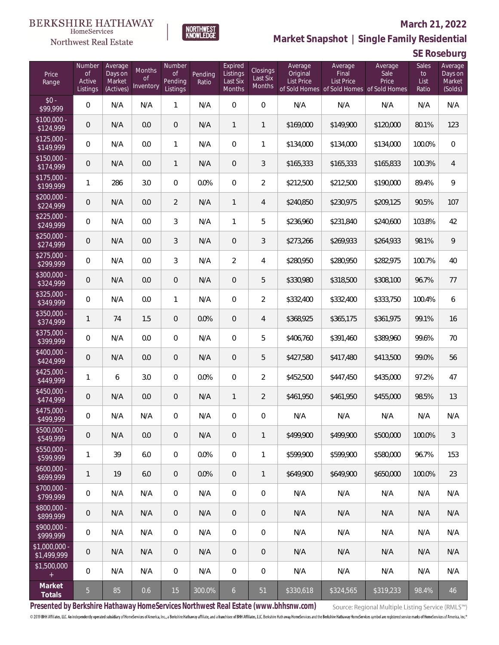### Northwest Real Estate

#### **March 21, 2022**



**SE Roseburg**

| Price<br>Range                    | Number<br><b>of</b><br>Active<br>Listings | Average<br>Days on<br>Market<br>(Actives) | Months<br><b>of</b><br>Inventory | Number<br><b>of</b><br>Pending<br>Listings | Pending<br>Ratio | Expired<br>Listings<br>Last Six<br>Months | Closings<br>Last Six<br><b>Months</b> | Average<br>Original<br><b>List Price</b> | Average<br>Final<br><b>List Price</b> | Average<br>Sale<br>Price<br>of Sold Homes of Sold Homes of Sold Homes | Sales<br>to<br>List<br>Ratio | Average<br>Days on<br>Market<br>(Solds) |
|-----------------------------------|-------------------------------------------|-------------------------------------------|----------------------------------|--------------------------------------------|------------------|-------------------------------------------|---------------------------------------|------------------------------------------|---------------------------------------|-----------------------------------------------------------------------|------------------------------|-----------------------------------------|
| $$0 -$<br>\$99,999                | $\mathbf{0}$                              | N/A                                       | N/A                              | 1                                          | N/A              | $\overline{0}$                            | $\boldsymbol{0}$                      | N/A                                      | N/A                                   | N/A                                                                   | N/A                          | N/A                                     |
| $\sqrt{$100,000}$ -<br>\$124,999  | $\mathbf 0$                               | N/A                                       | 0.0                              | $\overline{0}$                             | N/A              | $\mathbf{1}$                              | $\mathbf{1}$                          | \$169,000                                | \$149,900                             | \$120,000                                                             | 80.1%                        | 123                                     |
| $$125.000 -$<br>\$149,999         | $\mathbf{0}$                              | N/A                                       | 0.0                              | $\mathbf{1}$                               | N/A              | $\overline{0}$                            | 1                                     | \$134,000                                | \$134,000                             | \$134,000                                                             | 100.0%                       | $\mathbf{0}$                            |
| $$150.000 -$<br>$\sqrt{$174,999}$ | $\overline{0}$                            | N/A                                       | 0.0                              | $\mathbf{1}$                               | N/A              | $\overline{0}$                            | 3                                     | \$165,333                                | \$165,333                             | \$165,833                                                             | 100.3%                       | 4                                       |
| $$175,000 -$<br>\$199,999         | 1                                         | 286                                       | 3.0                              | $\overline{0}$                             | 0.0%             | $\overline{0}$                            | $\overline{2}$                        | \$212,500                                | \$212,500                             | \$190,000                                                             | 89.4%                        | 9                                       |
| \$200,000 -<br>\$224,999          | $\mathbf 0$                               | N/A                                       | 0.0                              | $\overline{2}$                             | N/A              | $\mathbf{1}$                              | $\overline{4}$                        | \$240,850                                | \$230,975                             | \$209,125                                                             | 90.5%                        | 107                                     |
| $$225,000 -$<br>\$249,999         | $\overline{0}$                            | N/A                                       | 0.0                              | 3                                          | N/A              | 1                                         | 5                                     | \$236,960                                | \$231,840                             | \$240,600                                                             | 103.8%                       | 42                                      |
| $$250,000 -$<br>\$274,999         | $\mathbf 0$                               | N/A                                       | 0.0                              | 3                                          | N/A              | $\overline{0}$                            | 3                                     | \$273,266                                | \$269,933                             | \$264,933                                                             | 98.1%                        | 9                                       |
| $$275,000 -$<br>\$299,999         | $\overline{0}$                            | N/A                                       | 0.0                              | 3                                          | N/A              | $\overline{2}$                            | 4                                     | \$280,950                                | \$280,950                             | \$282,975                                                             | 100.7%                       | 40                                      |
| \$300,000 -<br>\$324,999          | $\overline{0}$                            | N/A                                       | 0.0                              | $\overline{0}$                             | N/A              | $\overline{0}$                            | 5                                     | \$330,980                                | \$318,500                             | \$308,100                                                             | 96.7%                        | 77                                      |
| \$325,000 -<br>\$349,999          | $\overline{0}$                            | N/A                                       | 0.0                              | 1                                          | N/A              | $\overline{0}$                            | $\overline{2}$                        | \$332,400                                | \$332,400                             | \$333,750                                                             | 100.4%                       | 6                                       |
| \$350,000 -<br>\$374,999          | $\mathbf{1}$                              | 74                                        | 1.5                              | $\overline{0}$                             | 0.0%             | $\overline{0}$                            | 4                                     | \$368,925                                | \$365,175                             | \$361,975                                                             | 99.1%                        | 16                                      |
| \$375,000 -<br>\$399,999          | $\overline{0}$                            | N/A                                       | 0.0                              | $\overline{0}$                             | N/A              | $\overline{0}$                            | 5                                     | \$406,760                                | \$391,460                             | \$389,960                                                             | 99.6%                        | 70                                      |
| $$400,000 -$<br>\$424,999         | $\overline{0}$                            | N/A                                       | 0.0                              | $\overline{0}$                             | N/A              | 0                                         | 5                                     | \$427,580                                | \$417,480                             | \$413,500                                                             | 99.0%                        | 56                                      |
| $$425,000 -$<br>\$449,999         | 1                                         | 6                                         | 3.0                              | $\overline{0}$                             | 0.0%             | $\overline{0}$                            | $\overline{2}$                        | \$452,500                                | \$447,450                             | \$435,000                                                             | 97.2%                        | 47                                      |
| $$450,000 -$<br>\$474,999         | $\mathbf 0$                               | N/A                                       | 0.0                              | $\overline{0}$                             | N/A              | $\mathbf{1}$                              | $\overline{2}$                        | \$461,950                                | \$461,950                             | \$455,000                                                             | 98.5%                        | 13                                      |
| \$475,000 -<br>\$499,999          | 0                                         | N/A                                       | N/A                              | 0                                          | N/A              | 0                                         | 0                                     | N/A                                      | N/A                                   | N/A                                                                   | N/A                          | N/A                                     |
| $$500,000 -$<br>\$549,999         | $\mathbf 0$                               | N/A                                       | 0.0                              | $\mathbf 0$                                | N/A              | 0                                         | $\mathbf{1}$                          | \$499.900                                | \$499.900                             | \$500,000                                                             | 100.0%                       | 3                                       |
| \$550,000 -<br>\$599,999          | $\mathbf{1}$                              | 39                                        | 6.0                              | 0                                          | 0.0%             | $\mathbf 0$                               | $\mathbf{1}$                          | \$599,900                                | \$599,900                             | \$580,000                                                             | 96.7%                        | 153                                     |
| $$600,000 -$<br>\$699,999         | $\mathbf{1}$                              | 19                                        | 6.0                              | $\overline{0}$                             | 0.0%             | $\overline{0}$                            | $\mathbf{1}$                          | \$649,900                                | \$649,900                             | \$650,000                                                             | 100.0%                       | 23                                      |
| \$700,000 -<br>\$799,999          | 0                                         | N/A                                       | N/A                              | $\overline{0}$                             | N/A              | $\mathbf 0$                               | $\overline{0}$                        | N/A                                      | N/A                                   | N/A                                                                   | N/A                          | N/A                                     |
| \$800,000 -<br>\$899,999          | $\mathbf 0$                               | N/A                                       | N/A                              | $\overline{0}$                             | N/A              | $\overline{0}$                            | $\mathbf 0$                           | N/A                                      | N/A                                   | N/A                                                                   | N/A                          | N/A                                     |
| \$900,000 -<br>\$999,999          | 0                                         | N/A                                       | N/A                              | $\overline{0}$                             | N/A              | $\mathbf 0$                               | 0                                     | N/A                                      | N/A                                   | N/A                                                                   | N/A                          | N/A                                     |
| \$1,000,000<br>\$1,499,999        | $\mathbf 0$                               | N/A                                       | N/A                              | $\overline{0}$                             | N/A              | $\overline{0}$                            | 0                                     | N/A                                      | N/A                                   | N/A                                                                   | N/A                          | N/A                                     |
| \$1,500,000<br>$\pm$              | $\overline{0}$                            | N/A                                       | N/A                              | $\overline{0}$                             | N/A              | $\boldsymbol{0}$                          | $\overline{0}$                        | N/A                                      | N/A                                   | N/A                                                                   | N/A                          | N/A                                     |
| Market<br><b>Totals</b>           | 5                                         | 85                                        | 0.6                              | 15                                         | 300.0%           | $\mathbf{6}$                              | 51                                    | \$330,618                                | \$324,565                             | \$319,233                                                             | 98.4%                        | 46                                      |

NORTHWEST<br>KNOWLFDGF

**Presented by Berkshire Hathaway HomeServices Northwest Real Estate (www.bhhsnw.com)**

Source: Regional Multiple Listing Service (RMLS™)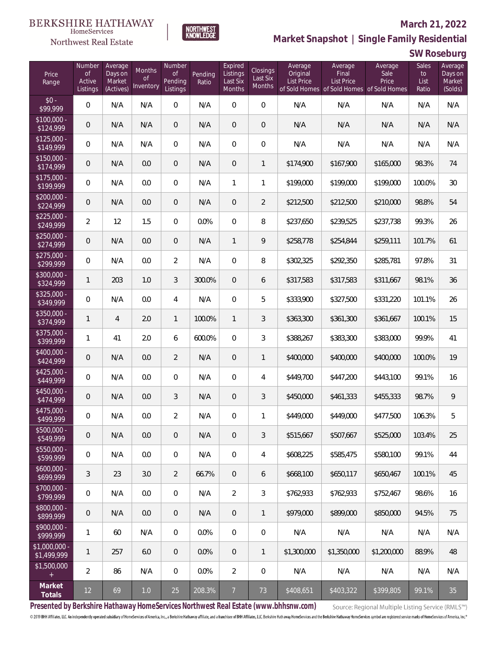### Northwest Real Estate

#### **March 21, 2022**

**Market Snapshot | Single Family Residential**

## **SW Roseburg**

| Price<br>Range               | Number<br><b>of</b><br>Active<br>Listings | Average<br>Days on<br>Market<br>(Actives) | <b>Months</b><br><b>of</b><br>Inventory | Number<br><b>of</b><br>Pending<br>Listings | Pending<br>Ratio | Expired<br>Listings<br>Last Six<br><b>Months</b> | Closings<br>Last Six<br><b>Months</b> | Average<br>Original<br>List Price | Average<br>Final<br><b>List Price</b><br>of Sold Homes of Sold Homes of Sold Homes | Average<br>Sale<br>Price | Sales<br>to<br>List<br>Ratio | Average<br>Days on<br>Market<br>(Solds) |
|------------------------------|-------------------------------------------|-------------------------------------------|-----------------------------------------|--------------------------------------------|------------------|--------------------------------------------------|---------------------------------------|-----------------------------------|------------------------------------------------------------------------------------|--------------------------|------------------------------|-----------------------------------------|
| $$0 -$<br>\$99,999           | 0                                         | N/A                                       | N/A                                     | 0                                          | N/A              | $\overline{0}$                                   | $\overline{0}$                        | N/A                               | N/A                                                                                | N/A                      | N/A                          | N/A                                     |
| $$100,000 -$<br>\$124,999    | 0                                         | N/A                                       | N/A                                     | $\overline{0}$                             | N/A              | $\overline{0}$                                   | $\mathbf 0$                           | N/A                               | N/A                                                                                | N/A                      | N/A                          | N/A                                     |
| $$125,000 -$<br>\$149,999    | 0                                         | N/A                                       | N/A                                     | $\overline{0}$                             | N/A              | $\overline{0}$                                   | 0                                     | N/A                               | N/A                                                                                | N/A                      | N/A                          | N/A                                     |
| $$150,000 -$<br>\$174,999    | 0                                         | N/A                                       | 0.0                                     | $\overline{0}$                             | N/A              | $\overline{0}$                                   | 1                                     | \$174,900                         | \$167,900                                                                          | \$165,000                | 98.3%                        | 74                                      |
| $$175,000 -$<br>\$199,999    | 0                                         | N/A                                       | 0.0                                     | $\overline{0}$                             | N/A              | 1                                                | 1                                     | \$199,000                         | \$199,000                                                                          | \$199,000                | 100.0%                       | 30                                      |
| $$200,000 -$<br>\$224,999    | 0                                         | N/A                                       | 0.0                                     | $\overline{0}$                             | N/A              | $\overline{0}$                                   | $\overline{2}$                        | \$212,500                         | \$212,500                                                                          | \$210,000                | 98.8%                        | 54                                      |
| $$225,000 -$<br>\$249,999    | $\overline{2}$                            | 12                                        | 1.5                                     | $\overline{0}$                             | 0.0%             | $\overline{0}$                                   | 8                                     | \$237,650                         | \$239,525                                                                          | \$237,738                | 99.3%                        | 26                                      |
| $$250,000 -$<br>\$274,999    | 0                                         | N/A                                       | 0.0                                     | 0                                          | N/A              | $\mathbf{1}$                                     | 9                                     | \$258,778                         | \$254,844                                                                          | \$259,111                | 101.7%                       | 61                                      |
| $$275,000 -$<br>\$299,999    | 0                                         | N/A                                       | 0.0                                     | $\overline{2}$                             | N/A              | $\overline{0}$                                   | 8                                     | \$302,325                         | \$292,350                                                                          | \$285,781                | 97.8%                        | 31                                      |
| $$300,000 -$<br>\$324,999    | $\mathbf{1}$                              | 203                                       | 1.0                                     | 3                                          | 300.0%           | $\overline{0}$                                   | 6                                     | \$317,583                         | \$317,583                                                                          | \$311,667                | 98.1%                        | 36                                      |
| $$325,000 -$<br>\$349,999    | 0                                         | N/A                                       | 0.0                                     | $\overline{4}$                             | N/A              | $\overline{0}$                                   | 5                                     | \$333,900                         | \$327,500                                                                          | \$331,220                | 101.1%                       | 26                                      |
| $$350,000 -$<br>\$374,999    | 1                                         | $\overline{4}$                            | 2.0                                     | $\mathbf{1}$                               | 100.0%           | $\mathbf{1}$                                     | 3                                     | \$363,300                         | \$361,300                                                                          | \$361,667                | 100.1%                       | 15                                      |
| $$375,000 -$<br>\$399,999    | 1                                         | 41                                        | 2.0                                     | 6                                          | 600.0%           | $\overline{0}$                                   | 3                                     | \$388,267                         | \$383,300                                                                          | \$383,000                | 99.9%                        | 41                                      |
| \$400,000 -<br>\$424,999     | 0                                         | N/A                                       | 0.0                                     | $\overline{2}$                             | N/A              | $\overline{0}$                                   | $\mathbf{1}$                          | \$400,000                         | \$400,000                                                                          | \$400,000                | 100.0%                       | 19                                      |
| $$425,000 -$<br>\$449,999    | 0                                         | N/A                                       | 0.0                                     | $\Omega$                                   | N/A              | $\Omega$                                         | 4                                     | \$449,700                         | \$447,200                                                                          | \$443,100                | 99.1%                        | 16                                      |
| $$450,000 -$<br>\$474,999    | 0                                         | N/A                                       | 0.0                                     | 3                                          | N/A              | $\overline{0}$                                   | 3                                     | \$450,000                         | \$461,333                                                                          | \$455,333                | 98.7%                        | 9                                       |
| $$475,000 -$<br>\$499,999    | 0                                         | N/A                                       | 0.0                                     | $\overline{2}$                             | N/A              | $\overline{0}$                                   | 1                                     | \$449,000                         | \$449,000                                                                          | \$477,500                | 106.3%                       | 5                                       |
| $500,000 -$<br>\$549,999     | 0                                         | N/A                                       | 0.0                                     | 0                                          | N/A              | 0                                                | 3                                     | \$515,667                         | \$507,667                                                                          | \$525,000                | 103.4%                       | 25                                      |
| \$550,000 -<br>\$599,999     | 0                                         | N/A                                       | 0.0                                     | 0                                          | N/A              | 0                                                | 4                                     | \$608,225                         | \$585,475                                                                          | \$580,100                | 99.1%                        | 44                                      |
| $$600,000 -$<br>\$699,999    | 3                                         | 23                                        | 3.0                                     | $\overline{2}$                             | 66.7%            | $\mathbf 0$                                      | 6                                     | \$668,100                         | \$650,117                                                                          | \$650,467                | 100.1%                       | 45                                      |
| \$700,000 -<br>\$799,999     | 0                                         | N/A                                       | 0.0                                     | 0                                          | N/A              | $\overline{2}$                                   | 3                                     | \$762,933                         | \$762,933                                                                          | \$752,467                | 98.6%                        | 16                                      |
| \$800,000 -<br>\$899,999     | 0                                         | N/A                                       | 0.0                                     | $\mathbf 0$                                | N/A              | $\mathbf 0$                                      | $\mathbf{1}$                          | \$979,000                         | \$899,000                                                                          | \$850,000                | 94.5%                        | 75                                      |
| \$900,000 -<br>\$999,999     | 1                                         | 60                                        | N/A                                     | 0                                          | 0.0%             | 0                                                | 0                                     | N/A                               | N/A                                                                                | N/A                      | N/A                          | N/A                                     |
| \$1,000,000 -<br>\$1,499,999 | 1                                         | 257                                       | 6.0                                     | $\overline{0}$                             | 0.0%             | $\overline{0}$                                   | 1                                     | \$1,300,000                       | \$1,350,000                                                                        | \$1,200,000              | 88.9%                        | 48                                      |
| \$1,500,000<br>$+$           | $\overline{2}$                            | 86                                        | N/A                                     | 0                                          | 0.0%             | $\overline{2}$                                   | 0                                     | N/A                               | N/A                                                                                | N/A                      | N/A                          | N/A                                     |
| Market<br>Totals             | $12 \overline{)}$                         | 69                                        | $1.0$                                   | 25                                         | 208.3%           | $\overline{7}$                                   | 73                                    | \$408,651                         | \$403,322                                                                          | \$399,805                | 99.1%                        | 35                                      |

NORTHWEST<br>KNOWLFDGF

**Presented by Berkshire Hathaway HomeServices Northwest Real Estate (www.bhhsnw.com)**

Source: Regional Multiple Listing Service (RMLS™)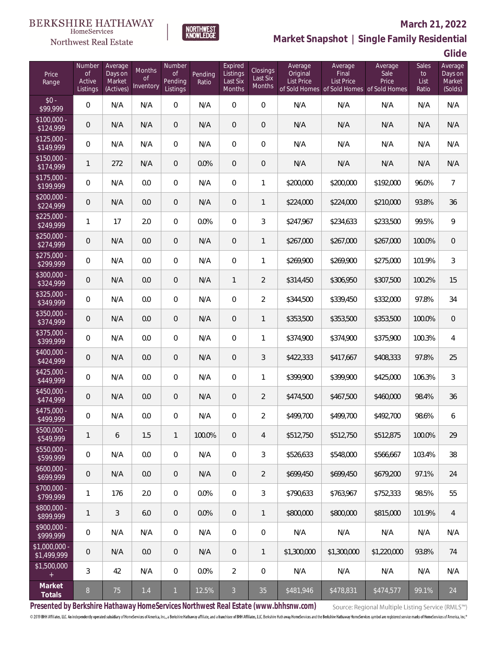# $\begin{array}{llll} \texttt{BERKSHIRE} \texttt{ HATHAWAY} \\ \texttt{\tiny HomeServices} \end{array}$



### **March 21, 2022**



| Price<br>Range                   | Number<br><b>of</b><br>Active<br>Listings | Average<br>Days on<br>Market<br>(Actives) | <b>Months</b><br><b>of</b><br>Inventory | Number<br>Οf<br>Pending<br>Listings | Pending<br>Ratio | Expired<br>Listings<br>Last Six<br>Months | Closings<br>Last Six<br><b>Months</b> | Average<br>Original<br><b>List Price</b> | Average<br>Final<br><b>List Price</b> | Average<br>Sale<br>Price<br>of Sold Homes of Sold Homes of Sold Homes | Sales<br>to<br>List<br>Ratio | Average<br>Days on<br>Market<br>(Solds) |
|----------------------------------|-------------------------------------------|-------------------------------------------|-----------------------------------------|-------------------------------------|------------------|-------------------------------------------|---------------------------------------|------------------------------------------|---------------------------------------|-----------------------------------------------------------------------|------------------------------|-----------------------------------------|
| $$0 -$<br>\$99,999               | 0                                         | N/A                                       | N/A                                     | 0                                   | N/A              | $\overline{0}$                            | $\overline{0}$                        | N/A                                      | N/A                                   | N/A                                                                   | N/A                          | N/A                                     |
| $\sqrt{$100,000}$ -<br>\$124,999 | $\mathbf 0$                               | N/A                                       | N/A                                     | $\overline{0}$                      | N/A              | $\overline{0}$                            | $\mathbf 0$                           | N/A                                      | N/A                                   | N/A                                                                   | N/A                          | N/A                                     |
| $$125.000 -$<br>\$149,999        | 0                                         | N/A                                       | N/A                                     | 0                                   | N/A              | $\overline{0}$                            | $\mathbf 0$                           | N/A                                      | N/A                                   | N/A                                                                   | N/A                          | N/A                                     |
| $$150.000 -$<br>\$174,999        | $\mathbf{1}$                              | 272                                       | N/A                                     | 0                                   | 0.0%             | $\overline{0}$                            | $\mathbf 0$                           | N/A                                      | N/A                                   | N/A                                                                   | N/A                          | N/A                                     |
| $$175,000 -$<br>\$199,999        | 0                                         | N/A                                       | 0.0                                     | 0                                   | N/A              | $\overline{0}$                            | 1                                     | \$200,000                                | \$200,000                             | \$192,000                                                             | 96.0%                        | $\overline{7}$                          |
| $$200,000 -$<br>\$224,999        | $\mathbf 0$                               | N/A                                       | 0.0                                     | 0                                   | N/A              | $\overline{0}$                            | 1                                     | \$224,000                                | \$224,000                             | \$210,000                                                             | 93.8%                        | 36                                      |
| $$225,000 -$<br>\$249,999        | 1                                         | 17                                        | 2.0                                     | $\overline{0}$                      | 0.0%             | $\overline{0}$                            | 3                                     | \$247,967                                | \$234,633                             | \$233,500                                                             | 99.5%                        | 9                                       |
| $$250,000 -$<br>\$274,999        | $\mathbf 0$                               | N/A                                       | 0.0                                     | $\overline{0}$                      | N/A              | $\overline{0}$                            | 1                                     | \$267,000                                | \$267,000                             | \$267,000                                                             | 100.0%                       | $\overline{0}$                          |
| $$275,000 -$<br>\$299,999        | 0                                         | N/A                                       | 0.0                                     | $\overline{0}$                      | N/A              | $\overline{0}$                            | 1                                     | \$269,900                                | \$269,900                             | \$275,000                                                             | 101.9%                       | 3                                       |
| \$300,000 -<br>\$324,999         | $\mathbf 0$                               | N/A                                       | 0.0                                     | $\overline{0}$                      | N/A              | 1                                         | $\overline{2}$                        | \$314,450                                | \$306,950                             | \$307,500                                                             | 100.2%                       | 15                                      |
| $$325,000 -$<br>\$349,999        | 0                                         | N/A                                       | 0.0                                     | $\overline{0}$                      | N/A              | $\overline{0}$                            | 2                                     | \$344,500                                | \$339,450                             | \$332,000                                                             | 97.8%                        | 34                                      |
| \$350,000 -<br>\$374,999         | $\mathbf 0$                               | N/A                                       | 0.0                                     | $\overline{0}$                      | N/A              | $\overline{0}$                            | $\mathbf{1}$                          | \$353,500                                | \$353,500                             | \$353,500                                                             | 100.0%                       | $\boldsymbol{0}$                        |
| $$375,000 -$<br>\$399,999        | 0                                         | N/A                                       | 0.0                                     | $\overline{0}$                      | N/A              | $\overline{0}$                            | 1                                     | \$374,900                                | \$374,900                             | \$375,900                                                             | 100.3%                       | $\overline{4}$                          |
| $$400,000 -$<br>\$424,999        | $\mathbf 0$                               | N/A                                       | 0.0                                     | $\mathbf 0$                         | N/A              | $\overline{0}$                            | 3                                     | \$422,333                                | \$417,667                             | \$408,333                                                             | 97.8%                        | 25                                      |
| $$425,000 -$<br>\$449,999        | 0                                         | N/A                                       | 0.0                                     | 0                                   | N/A              | $\overline{0}$                            | 1                                     | \$399,900                                | \$399,900                             | \$425,000                                                             | 106.3%                       | 3                                       |
| $$450,000 -$<br>\$474,999        | $\mathbf 0$                               | N/A                                       | 0.0                                     | $\mathbf 0$                         | N/A              | $\overline{0}$                            | $\overline{2}$                        | \$474,500                                | \$467,500                             | \$460,000                                                             | 98.4%                        | 36                                      |
| \$475,000 -<br>\$499.999         | $\mathbf 0$                               | N/A                                       | 0.0                                     | 0                                   | N/A              | $\overline{0}$                            | 2                                     | \$499,700                                | \$499,700                             | \$492,700                                                             | 98.6%                        | 6                                       |
| $$500,000 -$<br>\$549,999        | $\mathbf{1}$                              | 6                                         | 1.5                                     | 1                                   | 100.0%           | $\overline{0}$                            | 4                                     | \$512,750                                | \$512,750                             | \$512,875                                                             | 100.0%                       | 29                                      |
| $$550,000 -$<br>\$599,999        | 0                                         | N/A                                       | 0.0                                     | 0                                   | N/A              | $\mathbf 0$                               | 3                                     | \$526,633                                | \$548,000                             | \$566,667                                                             | 103.4%                       | 38                                      |
| $$600,000 -$<br>\$699,999        | $\mathsf{O}\xspace$                       | N/A                                       | 0.0                                     | $\mathbf 0$                         | N/A              | $\overline{0}$                            | 2                                     | \$699,450                                | \$699,450                             | \$679,200                                                             | 97.1%                        | 24                                      |
| \$700,000 -<br>\$799,999         | 1                                         | 176                                       | 2.0                                     | 0                                   | 0.0%             | $\boldsymbol{0}$                          | 3                                     | \$790,633                                | \$763,967                             | \$752,333                                                             | 98.5%                        | 55                                      |
| \$800,000 -<br>\$899,999         | $\mathbf{1}$                              | 3                                         | 6.0                                     | $\overline{0}$                      | 0.0%             | $\overline{0}$                            | 1                                     | \$800,000                                | \$800,000                             | \$815,000                                                             | 101.9%                       | $\overline{4}$                          |
| $$900,000 -$<br>\$999,999        | $\mathbf 0$                               | N/A                                       | N/A                                     | 0                                   | N/A              | $\mathbf 0$                               | $\mathbf 0$                           | N/A                                      | N/A                                   | N/A                                                                   | N/A                          | N/A                                     |
| \$1,000,000 -<br>\$1,499,999     | 0                                         | N/A                                       | 0.0                                     | 0                                   | N/A              | $\overline{0}$                            | 1                                     | \$1,300,000                              | \$1,300,000                           | \$1,220,000                                                           | 93.8%                        | 74                                      |
| \$1,500,000<br>$+$               | 3                                         | 42                                        | N/A                                     | 0                                   | 0.0%             | $\overline{2}$                            | $\mathbf 0$                           | N/A                                      | N/A                                   | N/A                                                                   | N/A                          | N/A                                     |
| Market<br>Totals                 | $\, 8$                                    | 75                                        | $1.4$                                   | $\mathbf{1}$                        | 12.5%            | $\overline{3}$                            | 35                                    | \$481,946                                | \$478,831                             | \$474,577                                                             | 99.1%                        | 24                                      |

NORTHWEST<br>KNOWLEDGE

**Presented by Berkshire Hathaway HomeServices Northwest Real Estate (www.bhhsnw.com)**

Source: Regional Multiple Listing Service (RMLS™)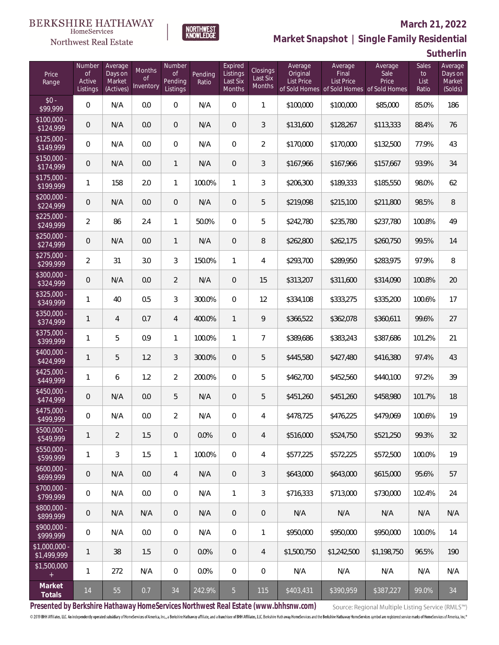

# NORTHWEST<br>KNOWLFDGF

#### **March 21, 2022**

**Market Snapshot | Single Family Residential**

**Sutherlin**

| Price<br>Range                | Number<br><b>of</b><br>Active<br>Listings | Average<br>Days on<br>Market<br>(Actives) | <b>Months</b><br><b>of</b><br>Inventory | Number<br><b>of</b><br>Pending<br>Listings | Pending<br>Ratio | Expired<br>Listings<br>Last Six<br>Months | Closings<br>Last Six<br><b>Months</b> | Average<br>Original<br>List Price | Average<br>Final<br>List Price | Average<br>Sale<br>Price<br>of Sold Homes of Sold Homes of Sold Homes | Sales<br>to<br>List<br>Ratio | Average<br>Days on<br>Market<br>(Solds) |
|-------------------------------|-------------------------------------------|-------------------------------------------|-----------------------------------------|--------------------------------------------|------------------|-------------------------------------------|---------------------------------------|-----------------------------------|--------------------------------|-----------------------------------------------------------------------|------------------------------|-----------------------------------------|
| $$0 -$<br>\$99,999            | $\overline{0}$                            | N/A                                       | 0.0                                     | $\overline{0}$                             | N/A              | $\overline{0}$                            | $\mathbf{1}$                          | \$100,000                         | \$100,000                      | \$85,000                                                              | 85.0%                        | 186                                     |
| $$100,000 -$<br>\$124,999     | $\overline{0}$                            | N/A                                       | 0.0                                     | $\overline{0}$                             | N/A              | $\overline{0}$                            | 3                                     | \$131,600                         | \$128,267                      | \$113,333                                                             | 88.4%                        | 76                                      |
| $$125,000 -$<br>\$149,999     | $\overline{0}$                            | N/A                                       | 0.0                                     | $\overline{0}$                             | N/A              | $\Omega$                                  | $\overline{a}$                        | \$170,000                         | \$170,000                      | \$132,500                                                             | 77.9%                        | 43                                      |
| $$150,000 -$<br>\$174,999     | $\overline{0}$                            | N/A                                       | 0.0                                     | $\mathbf{1}$                               | N/A              | 0                                         | 3                                     | \$167,966                         | \$167,966                      | \$157,667                                                             | 93.9%                        | 34                                      |
| $$175,000 -$<br>\$199,999     | $\mathbf{1}$                              | 158                                       | 2.0                                     | $\mathbf{1}$                               | 100.0%           | $\mathbf{1}$                              | 3                                     | \$206,300                         | \$189,333                      | \$185,550                                                             | 98.0%                        | 62                                      |
| $$200,000 -$<br>\$224,999     | $\overline{0}$                            | N/A                                       | 0.0                                     | $\overline{0}$                             | N/A              | 0                                         | 5                                     | \$219,098                         | \$215,100                      | \$211,800                                                             | 98.5%                        | 8                                       |
| $$225,000 -$<br>\$249,999     | $\overline{2}$                            | 86                                        | 2.4                                     | $\mathbf{1}$                               | 50.0%            | $\overline{0}$                            | 5                                     | \$242,780                         | \$235,780                      | \$237,780                                                             | 100.8%                       | 49                                      |
| $$250,000 -$<br>\$274,999     | $\overline{0}$                            | N/A                                       | 0.0                                     | $\mathbf{1}$                               | N/A              | $\overline{0}$                            | 8                                     | \$262,800                         | \$262,175                      | \$260,750                                                             | 99.5%                        | 14                                      |
| $$275,000 -$<br>\$299,999     | $\overline{2}$                            | 31                                        | 3.0                                     | 3                                          | 150.0%           | $\mathbf{1}$                              | 4                                     | \$293,700                         | \$289,950                      | \$283,975                                                             | 97.9%                        | 8                                       |
| $$300,000 -$<br>\$324,999     | $\mathbf 0$                               | N/A                                       | 0.0                                     | $\overline{2}$                             | N/A              | $\overline{0}$                            | 15                                    | \$313,207                         | \$311,600                      | \$314,090                                                             | 100.8%                       | 20                                      |
| $$325,000 -$<br>\$349,999     | $\mathbf{1}$                              | 40                                        | 0.5                                     | 3                                          | 300.0%           | $\Omega$                                  | 12                                    | \$334,108                         | \$333,275                      | \$335,200                                                             | 100.6%                       | 17                                      |
| $$350,000 -$<br>\$374,999     | $\mathbf{1}$                              | $\overline{4}$                            | 0.7                                     | $\overline{4}$                             | 400.0%           | $\mathbf{1}$                              | 9                                     | \$366,522                         | \$362,078                      | \$360,611                                                             | 99.6%                        | 27                                      |
| $$375,000 -$<br>\$399,999     | $\mathbf{1}$                              | 5                                         | 0.9                                     | $\mathbf{1}$                               | 100.0%           | 1                                         | $\overline{7}$                        | \$389,686                         | \$383,243                      | \$387,686                                                             | 101.2%                       | 21                                      |
| $$400,000 -$<br>\$424,999     | $\mathbf{1}$                              | 5                                         | 1.2                                     | 3                                          | 300.0%           | $\overline{0}$                            | 5                                     | \$445,580                         | \$427,480                      | \$416,380                                                             | 97.4%                        | 43                                      |
| $$425,000 -$<br>\$449,999     | 1                                         | 6                                         | 1.2                                     | $\overline{2}$                             | 200.0%           | $\Omega$                                  | 5                                     | \$462,700                         | \$452,560                      | \$440,100                                                             | 97.2%                        | 39                                      |
| \$450,000 -<br>\$474,999      | $\overline{0}$                            | N/A                                       | 0.0                                     | 5                                          | N/A              | $\overline{0}$                            | 5                                     | \$451,260                         | \$451,260                      | \$458,980                                                             | 101.7%                       | 18                                      |
| \$475,000 -<br>\$499,999      | $\mathbf 0$                               | N/A                                       | 0.0                                     | $\overline{2}$                             | N/A              | $\overline{0}$                            | 4                                     | \$478,725                         | \$476,225                      | \$479,069                                                             | 100.6%                       | 19                                      |
| \$500,000 -<br>\$549,999      | 1                                         | $\overline{2}$                            | 1.5                                     | 0                                          | 0.0%             | $\mathsf{O}\xspace$                       | $\overline{4}$                        | \$516,000                         | \$524,750                      | \$521,250                                                             | 99.3%                        | 32                                      |
| $$550,000 -$<br>\$599,999     | 1                                         | 3                                         | 1.5                                     | $\mathbf{1}$                               | 100.0%           | $\mathbb O$                               | 4                                     | \$577,225                         | \$572,225                      | \$572,500                                                             | 100.0%                       | 19                                      |
| $$600,000 -$<br>\$699,999     | $\boldsymbol{0}$                          | N/A                                       | 0.0                                     | $\overline{4}$                             | N/A              | $\overline{0}$                            | 3                                     | \$643,000                         | \$643,000                      | \$615,000                                                             | 95.6%                        | 57                                      |
| \$700,000 -<br>\$799,999      | $\overline{0}$                            | N/A                                       | 0.0                                     | $\overline{0}$                             | N/A              | $\mathbf{1}$                              | 3                                     | \$716,333                         | \$713,000                      | \$730,000                                                             | 102.4%                       | 24                                      |
| \$800,000 -<br>\$899,999      | 0                                         | N/A                                       | N/A                                     | $\overline{0}$                             | N/A              | $\overline{0}$                            | $\mathbf 0$                           | N/A                               | N/A                            | N/A                                                                   | N/A                          | N/A                                     |
| \$900,000 -<br>\$999,999      | 0                                         | N/A                                       | 0.0                                     | $\overline{0}$                             | N/A              | $\overline{0}$                            | 1                                     | \$950,000                         | \$950,000                      | \$950,000                                                             | 100.0%                       | 14                                      |
| $$1,000,000$ -<br>\$1,499,999 | $\mathbf{1}$                              | 38                                        | 1.5                                     | $\overline{0}$                             | 0.0%             | $\mathbf 0$                               | $\overline{4}$                        | \$1,500,750                       | \$1,242,500                    | \$1,198,750                                                           | 96.5%                        | 190                                     |
| \$1,500,000<br>$+$            | $\mathbf{1}$                              | 272                                       | N/A                                     | $\overline{0}$                             | 0.0%             | $\mathbf 0$                               | 0                                     | N/A                               | N/A                            | N/A                                                                   | N/A                          | N/A                                     |
| Market<br>Totals              | $14$                                      | 55                                        | 0.7                                     | $34\,$                                     | 242.9%           | 5 <sub>1</sub>                            | 115                                   | \$403,431                         | \$390,959                      | \$387,227                                                             | 99.0%                        | 34                                      |

**Presented by Berkshire Hathaway HomeServices Northwest Real Estate (www.bhhsnw.com)**

Source: Regional Multiple Listing Service (RMLS™)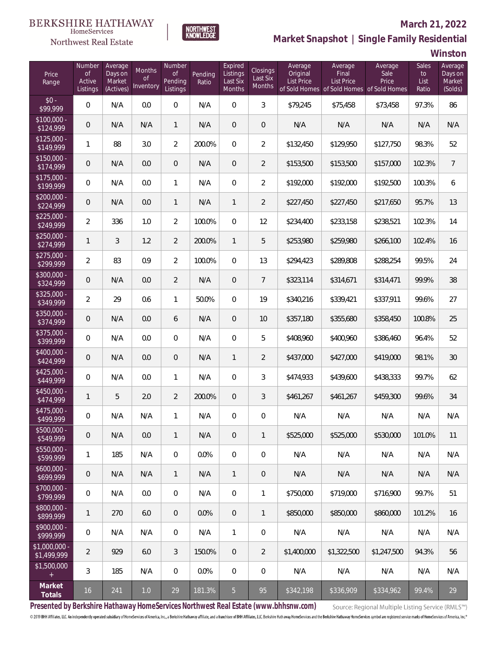### Northwest Real Estate

### **March 21, 2022**



# **Market Snapshot | Single Family Residential**

**Winston**

| Price<br>Range                   | Number<br><b>of</b><br>Active<br>Listings | Average<br>Days on<br>Market<br>(Actives) | <b>Months</b><br><b>of</b><br>Inventory | Number<br><b>of</b><br>Pending<br>Listings | Pending<br>Ratio | Expired<br>Listings<br>Last Six<br>Months | Closings<br>Last Six<br>Months | Average<br>Original<br><b>List Price</b> | Average<br>Final<br><b>List Price</b><br>of Sold Homes of Sold Homes of Sold Homes | Average<br>Sale<br>Price | <b>Sales</b><br>to<br>List<br>Ratio | Average<br>Days on<br>Market<br>(Solds) |
|----------------------------------|-------------------------------------------|-------------------------------------------|-----------------------------------------|--------------------------------------------|------------------|-------------------------------------------|--------------------------------|------------------------------------------|------------------------------------------------------------------------------------|--------------------------|-------------------------------------|-----------------------------------------|
| $$0 -$<br>\$99,999               | 0                                         | N/A                                       | 0.0                                     | $\Omega$                                   | N/A              | $\Omega$                                  | 3                              | \$79,245                                 | \$75,458                                                                           | \$73,458                 | 97.3%                               | 86                                      |
| $$100,000 -$<br>\$124,999        | 0                                         | N/A                                       | N/A                                     | $\mathbf{1}$                               | N/A              | $\Omega$                                  | $\overline{0}$                 | N/A                                      | N/A                                                                                | N/A                      | N/A                                 | N/A                                     |
| $$125,000 -$<br>\$149,999        | 1                                         | 88                                        | 3.0                                     | $\overline{2}$                             | 200.0%           | $\Omega$                                  | $\overline{2}$                 | \$132,450                                | \$129,950                                                                          | \$127,750                | 98.3%                               | 52                                      |
| $\sqrt{$150,000}$ -<br>\$174,999 | 0                                         | N/A                                       | 0.0                                     | $\overline{0}$                             | N/A              | $\overline{0}$                            | $\overline{2}$                 | \$153,500                                | \$153,500                                                                          | \$157,000                | 102.3%                              | $\overline{7}$                          |
| $$175,000 -$<br>\$199,999        | 0                                         | N/A                                       | 0.0                                     | $\mathbf{1}$                               | N/A              | $\overline{0}$                            | $\overline{2}$                 | \$192,000                                | \$192,000                                                                          | \$192,500                | 100.3%                              | 6                                       |
| $$200,000 -$<br>\$224,999        | 0                                         | N/A                                       | 0.0                                     | $\mathbf{1}$                               | N/A              | $\mathbf{1}$                              | $\overline{2}$                 | \$227,450                                | \$227,450                                                                          | \$217,650                | 95.7%                               | 13                                      |
| $$225,000 -$<br>\$249,999        | $\overline{2}$                            | 336                                       | 1.0                                     | $\overline{2}$                             | 100.0%           | $\Omega$                                  | 12                             | \$234,400                                | \$233,158                                                                          | \$238,521                | 102.3%                              | 14                                      |
| $$250,000 -$<br>\$274,999        | $\mathbf{1}$                              | 3                                         | 1.2                                     | $\overline{2}$                             | 200.0%           | $\mathbf{1}$                              | 5                              | \$253,980                                | \$259,980                                                                          | \$266,100                | 102.4%                              | 16                                      |
| $$275,000 -$<br>\$299,999        | $\overline{2}$                            | 83                                        | 0.9                                     | $\overline{2}$                             | 100.0%           | $\overline{0}$                            | 13                             | \$294,423                                | \$289,808                                                                          | \$288,254                | 99.5%                               | 24                                      |
| $$300,000 -$<br>\$324,999        | 0                                         | N/A                                       | 0.0                                     | $\overline{2}$                             | N/A              | $\overline{0}$                            | $\overline{7}$                 | \$323,114                                | \$314,671                                                                          | \$314,471                | 99.9%                               | 38                                      |
| $$325,000 -$<br>\$349,999        | $\overline{2}$                            | 29                                        | 0.6                                     | 1                                          | 50.0%            | $\overline{0}$                            | 19                             | \$340,216                                | \$339,421                                                                          | \$337,911                | 99.6%                               | 27                                      |
| $$350,000 -$<br>\$374,999        | 0                                         | N/A                                       | 0.0                                     | 6                                          | N/A              | $\overline{0}$                            | 10                             | \$357,180                                | \$355,680                                                                          | \$358,450                | 100.8%                              | 25                                      |
| $$375,000 -$<br>\$399,999        | 0                                         | N/A                                       | 0.0                                     | $\Omega$                                   | N/A              | $\Omega$                                  | 5                              | \$408,960                                | \$400,960                                                                          | \$386,460                | 96.4%                               | 52                                      |
| $$400,000 -$<br>\$424,999        | 0                                         | N/A                                       | 0.0                                     | $\overline{0}$                             | N/A              | $\mathbf{1}$                              | $\overline{2}$                 | \$437,000                                | \$427,000                                                                          | \$419,000                | 98.1%                               | 30                                      |
| $$425,000 -$<br>\$449,999        | 0                                         | N/A                                       | 0.0                                     | 1                                          | N/A              | $\overline{0}$                            | 3                              | \$474,933                                | \$439,600                                                                          | \$438,333                | 99.7%                               | 62                                      |
| $$450,000 -$<br>\$474,999        | $\mathbf{1}$                              | 5                                         | 2.0                                     | $\overline{2}$                             | 200.0%           | $\overline{0}$                            | 3                              | \$461,267                                | \$461,267                                                                          | \$459,300                | 99.6%                               | 34                                      |
| $$475,000 -$<br>\$499,999        | 0                                         | N/A                                       | N/A                                     | 1                                          | N/A              | $\overline{0}$                            | $\overline{0}$                 | N/A                                      | N/A                                                                                | N/A                      | N/A                                 | N/A                                     |
| \$500,000 -<br>\$549,999         | $\boldsymbol{0}$                          | N/A                                       | 0.0                                     | $\mathbf{1}$                               | N/A              | 0                                         | $\mathbf{1}$                   | \$525,000                                | \$525,000                                                                          | \$530,000                | 101.0%                              | 11                                      |
| $$550,000 -$<br>\$599,999        | 1                                         | 185                                       | N/A                                     | $\mathbf 0$                                | 0.0%             | $\mathbb O$                               | $\,0\,$                        | N/A                                      | N/A                                                                                | N/A                      | N/A                                 | N/A                                     |
| $$600,000 -$<br>\$699,999        | $\boldsymbol{0}$                          | N/A                                       | N/A                                     | $\mathbf{1}$                               | N/A              | $\mathbf{1}$                              | 0                              | N/A                                      | N/A                                                                                | N/A                      | N/A                                 | N/A                                     |
| $$700,000 -$<br>\$799,999        | $\boldsymbol{0}$                          | N/A                                       | 0.0                                     | $\mathbf 0$                                | N/A              | $\mathbf 0$                               | $\mathbf{1}$                   | \$750,000                                | \$719,000                                                                          | \$716,900                | 99.7%                               | 51                                      |
| \$800,000 -<br>\$899,999         | $\mathbf{1}$                              | 270                                       | $6.0\,$                                 | $\overline{0}$                             | 0.0%             | $\mathbf{0}$                              | $\mathbf{1}$                   | \$850,000                                | \$850,000                                                                          | \$860,000                | 101.2%                              | 16                                      |
| $$900,000 -$<br>\$999,999        | $\boldsymbol{0}$                          | N/A                                       | N/A                                     | $\overline{0}$                             | N/A              | $\mathbf{1}$                              | $\,0\,$                        | N/A                                      | N/A                                                                                | N/A                      | N/A                                 | N/A                                     |
| \$1,000,000 -<br>\$1,499,999     | $\overline{2}$                            | 929                                       | 6.0                                     | 3                                          | 150.0%           | $\mathbf{0}$                              | $\overline{2}$                 | \$1,400,000                              | \$1,322,500                                                                        | \$1,247,500              | 94.3%                               | 56                                      |
| \$1,500,000<br>$\pm$             | 3                                         | 185                                       | N/A                                     | $\overline{0}$                             | 0.0%             | $\mathbf 0$                               | $\,0\,$                        | N/A                                      | N/A                                                                                | N/A                      | N/A                                 | N/A                                     |
| Market<br>Totals                 | 16                                        | 241                                       | $1.0\,$                                 | $29\,$                                     | 181.3%           | 5 <sub>1</sub>                            | 95                             | \$342,198                                | \$336,909                                                                          | \$334,962                | 99.4%                               | 29                                      |

**Presented by Berkshire Hathaway HomeServices Northwest Real Estate (www.bhhsnw.com)**

Source: Regional Multiple Listing Service (RMLS™)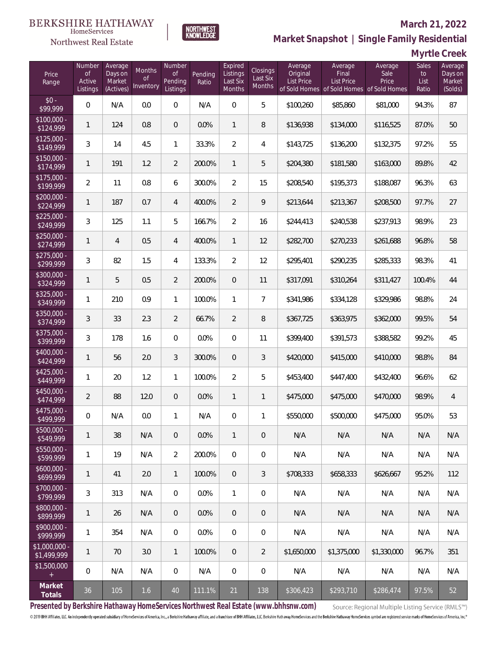# $\begin{array}{llll} \texttt{BERKSHIRE} \texttt{ HATHAWAY} \\ \texttt{\tiny HomeServices} \end{array}$

### Northwest Real Estate

#### **March 21, 2022**



# **Market Snapshot | Single Family Residential**

**Myrtle Creek**

| Price<br>Range               | Number<br><b>of</b><br>Active<br>Listings | Average<br>Days on<br>Market<br>(Actives) | <b>Months</b><br>0f<br>Inventory | Number<br><b>of</b><br>Pending<br>Listings | Pending<br>Ratio | Expired<br>Listings<br>Last Six<br>Months | Closings<br>Last Six<br>Months | Average<br>Original<br>List Price | Average<br>Final<br>List Price<br>of Sold Homes of Sold Homes of Sold Homes | Average<br>Sale<br>Price | Sales<br>to<br>List<br>Ratio | Average<br>Days on<br>Market<br>(Solds) |
|------------------------------|-------------------------------------------|-------------------------------------------|----------------------------------|--------------------------------------------|------------------|-------------------------------------------|--------------------------------|-----------------------------------|-----------------------------------------------------------------------------|--------------------------|------------------------------|-----------------------------------------|
| $$0 -$<br>\$99,999           | 0                                         | N/A                                       | 0.0                              | 0                                          | N/A              | $\overline{0}$                            | 5                              | \$100,260                         | \$85,860                                                                    | \$81,000                 | 94.3%                        | 87                                      |
| $$100,000 -$<br>\$124,999    | 1                                         | 124                                       | 0.8                              | $\overline{0}$                             | 0.0%             | $\mathbf{1}$                              | 8                              | \$136,938                         | \$134,000                                                                   | \$116,525                | 87.0%                        | 50                                      |
| $$125,000 -$<br>\$149,999    | 3                                         | 14                                        | 4.5                              | 1                                          | 33.3%            | $\overline{2}$                            | 4                              | \$143,725                         | \$136,200                                                                   | \$132,375                | 97.2%                        | 55                                      |
| $$150,000 -$<br>\$174,999    | $\mathbf{1}$                              | 191                                       | 1.2                              | $\overline{2}$                             | 200.0%           | $\mathbf{1}$                              | 5                              | \$204,380                         | \$181,580                                                                   | \$163,000                | 89.8%                        | 42                                      |
| $$175,000 -$<br>\$199,999    | $\overline{2}$                            | 11                                        | 0.8                              | 6                                          | 300.0%           | $\overline{2}$                            | 15                             | \$208,540                         | \$195,373                                                                   | \$188,087                | 96.3%                        | 63                                      |
| $$200,000 -$<br>\$224,999    | $\mathbf{1}$                              | 187                                       | 0.7                              | $\overline{4}$                             | 400.0%           | $\overline{2}$                            | 9                              | \$213,644                         | \$213,367                                                                   | \$208,500                | 97.7%                        | 27                                      |
| $$225,000 -$<br>\$249,999    | 3                                         | 125                                       | 1.1                              | 5                                          | 166.7%           | $\overline{2}$                            | 16                             | \$244,413                         | \$240,538                                                                   | \$237,913                | 98.9%                        | 23                                      |
| $$250,000 -$<br>\$274,999    | $\mathbf{1}$                              | $\overline{4}$                            | 0.5                              | $\overline{4}$                             | 400.0%           | $\mathbf{1}$                              | 12                             | \$282,700                         | \$270,233                                                                   | \$261,688                | 96.8%                        | 58                                      |
| $$275,000 -$<br>\$299,999    | 3                                         | 82                                        | 1.5                              | 4                                          | 133.3%           | $\overline{2}$                            | 12                             | \$295,401                         | \$290,235                                                                   | \$285,333                | 98.3%                        | 41                                      |
| $$300,000 -$<br>\$324,999    | $\mathbf{1}$                              | 5                                         | 0.5                              | $\overline{2}$                             | 200.0%           | $\overline{0}$                            | 11                             | \$317,091                         | \$310,264                                                                   | \$311,427                | 100.4%                       | 44                                      |
| $$325,000 -$<br>\$349,999    | 1                                         | 210                                       | 0.9                              | 1                                          | 100.0%           | 1                                         | $\overline{7}$                 | \$341,986                         | \$334,128                                                                   | \$329,986                | 98.8%                        | 24                                      |
| $$350,000 -$<br>\$374,999    | 3                                         | 33                                        | 2.3                              | $\overline{2}$                             | 66.7%            | $\overline{2}$                            | 8                              | \$367,725                         | \$363,975                                                                   | \$362,000                | 99.5%                        | 54                                      |
| $$375,000 -$<br>\$399,999    | 3                                         | 178                                       | 1.6                              | $\overline{0}$                             | 0.0%             | $\overline{0}$                            | 11                             | \$399,400                         | \$391,573                                                                   | \$388,582                | 99.2%                        | 45                                      |
| $$400,000 -$<br>\$424,999    | $\mathbf{1}$                              | 56                                        | 2.0                              | 3                                          | 300.0%           | $\overline{0}$                            | 3                              | \$420,000                         | \$415,000                                                                   | \$410,000                | 98.8%                        | 84                                      |
| $$425,000 -$<br>\$449,999    | 1                                         | 20                                        | 1.2                              | 1                                          | 100.0%           | $\overline{2}$                            | 5                              | \$453,400                         | \$447,400                                                                   | \$432,400                | 96.6%                        | 62                                      |
| $$450,000 -$<br>\$474,999    | $\overline{2}$                            | 88                                        | 12.0                             | $\mathbf 0$                                | 0.0%             | $\mathbf{1}$                              | 1                              | \$475,000                         | \$475,000                                                                   | \$470,000                | 98.9%                        | $\overline{4}$                          |
| $$475,000 -$<br>\$499,999    | 0                                         | N/A                                       | 0.0                              | 1                                          | N/A              | $\overline{0}$                            | 1                              | \$550,000                         | \$500,000                                                                   | \$475,000                | 95.0%                        | 53                                      |
| \$500,000 -<br>\$549,999     | $\mathbf{1}$                              | 38                                        | N/A                              | 0                                          | 0.0%             | 1                                         | 0                              | N/A                               | N/A                                                                         | N/A                      | N/A                          | N/A                                     |
| \$550,000 -<br>\$599,999     | 1                                         | 19                                        | N/A                              | $\overline{2}$                             | 200.0%           | $\overline{0}$                            | $\mathbf 0$                    | N/A                               | N/A                                                                         | N/A                      | N/A                          | N/A                                     |
| $$600,000 -$<br>\$699,999    | 1                                         | 41                                        | 2.0                              | $\mathbf{1}$                               | 100.0%           | $\sqrt{0}$                                | 3                              | \$708,333                         | \$658,333                                                                   | \$626,667                | 95.2%                        | 112                                     |
| \$700,000 -<br>\$799,999     | 3                                         | 313                                       | N/A                              | 0                                          | 0.0%             | $\mathbf{1}$                              | 0                              | N/A                               | N/A                                                                         | N/A                      | N/A                          | N/A                                     |
| \$800,000 -<br>\$899,999     | $\mathbf{1}$                              | 26                                        | N/A                              | $\mathbf 0$                                | 0.0%             | $\mathbf 0$                               | 0                              | N/A                               | N/A                                                                         | N/A                      | N/A                          | N/A                                     |
| \$900,000 -<br>\$999,999     | 1                                         | 354                                       | N/A                              | 0                                          | 0.0%             | $\boldsymbol{0}$                          | $\mathbf 0$                    | N/A                               | N/A                                                                         | N/A                      | N/A                          | N/A                                     |
| \$1,000,000 -<br>\$1,499,999 | $\mathbf{1}$                              | 70                                        | 3.0                              | $\mathbf{1}$                               | 100.0%           | $\mathbf 0$                               | $\overline{2}$                 | \$1,650,000                       | \$1,375,000                                                                 | \$1,330,000              | 96.7%                        | 351                                     |
| \$1,500,000<br>$\pm$         | 0                                         | N/A                                       | N/A                              | 0                                          | N/A              | $\mathbf 0$                               | 0                              | N/A                               | N/A                                                                         | N/A                      | N/A                          | N/A                                     |
| Market<br>Totals             | $36\,$                                    | 105                                       | $1.6\,$                          | $40\,$                                     | 111.1%           | 21                                        | 138                            | \$306,423                         | \$293,710                                                                   | \$286,474                | 97.5%                        | 52                                      |

**Presented by Berkshire Hathaway HomeServices Northwest Real Estate (www.bhhsnw.com)**

Source: Regional Multiple Listing Service (RMLS™)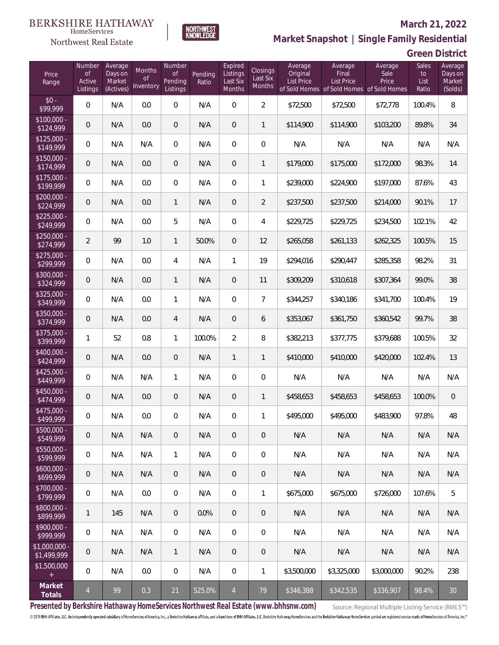### Northwest Real Estate

#### **March 21, 2022**



#### **Green District**

| Price<br>Range               | Number<br><b>of</b><br>Active<br>Listings | Average<br>Days on<br>Market<br>(Actives) | <b>Months</b><br><b>of</b><br>Inventory | Number<br><b>of</b><br>Pending<br>Listings | Pending<br>Ratio | Expired<br>Listings<br>Last Six<br>Months | Closings<br>Last Six<br>Months | Average<br>Original<br>List Price | Average<br>Final<br>List Price<br>of Sold Homes of Sold Homes of Sold Homes | Average<br>Sale<br>Price | Sales<br>to<br>List<br>Ratio | Average<br>Days on<br>Market<br>(Solds) |
|------------------------------|-------------------------------------------|-------------------------------------------|-----------------------------------------|--------------------------------------------|------------------|-------------------------------------------|--------------------------------|-----------------------------------|-----------------------------------------------------------------------------|--------------------------|------------------------------|-----------------------------------------|
| $$0 -$<br>\$99,999           | $\overline{0}$                            | N/A                                       | 0.0                                     | $\overline{0}$                             | N/A              | $\overline{0}$                            | $\overline{2}$                 | \$72,500                          | \$72,500                                                                    | \$72,778                 | 100.4%                       | 8                                       |
| $$100,000 -$<br>\$124,999    | $\overline{0}$                            | N/A                                       | 0.0                                     | $\overline{0}$                             | N/A              | $\overline{0}$                            | 1                              | \$114,900                         | \$114,900                                                                   | \$103,200                | 89.8%                        | 34                                      |
| $$125,000 -$<br>\$149,999    | $\overline{0}$                            | N/A                                       | N/A                                     | $\overline{0}$                             | N/A              | $\overline{0}$                            | 0                              | N/A                               | N/A                                                                         | N/A                      | N/A                          | N/A                                     |
| $$150,000 -$<br>\$174,999    | $\overline{0}$                            | N/A                                       | 0.0                                     | $\overline{0}$                             | N/A              | $\overline{0}$                            | $\mathbf{1}$                   | \$179,000                         | \$175,000                                                                   | \$172,000                | 98.3%                        | 14                                      |
| $$175,000 -$<br>\$199,999    | $\overline{0}$                            | N/A                                       | 0.0                                     | $\overline{0}$                             | N/A              | $\overline{0}$                            | 1                              | \$239,000                         | \$224,900                                                                   | \$197,000                | 87.6%                        | 43                                      |
| $$200,000 -$<br>\$224,999    | $\overline{0}$                            | N/A                                       | 0.0                                     | $\mathbf{1}$                               | N/A              | $\overline{0}$                            | $\overline{2}$                 | \$237,500                         | \$237,500                                                                   | \$214,000                | 90.1%                        | 17                                      |
| $$225,000 -$<br>\$249,999    | $\overline{0}$                            | N/A                                       | 0.0                                     | 5                                          | N/A              | $\overline{0}$                            | 4                              | \$229,725                         | \$229,725                                                                   | \$234,500                | 102.1%                       | 42                                      |
| $$250,000 -$<br>\$274,999    | $\overline{2}$                            | 99                                        | 1.0                                     | $\mathbf{1}$                               | 50.0%            | $\overline{0}$                            | 12                             | \$265,058                         | \$261,133                                                                   | \$262,325                | 100.5%                       | 15                                      |
| $$275,000 -$<br>\$299,999    | $\overline{0}$                            | N/A                                       | 0.0                                     | $\overline{4}$                             | N/A              | $\mathbf{1}$                              | 19                             | \$294,016                         | \$290,447                                                                   | \$285,358                | 98.2%                        | 31                                      |
| $$300,000 -$<br>\$324,999    | $\mathbf 0$                               | N/A                                       | 0.0                                     | $\mathbf{1}$                               | N/A              | $\overline{0}$                            | 11                             | \$309,209                         | \$310,618                                                                   | \$307,364                | 99.0%                        | 38                                      |
| $$325,000 -$<br>\$349,999    | $\overline{0}$                            | N/A                                       | 0.0                                     | 1                                          | N/A              | $\overline{0}$                            | $\overline{7}$                 | \$344,257                         | \$340,186                                                                   | \$341,700                | 100.4%                       | 19                                      |
| $$350,000 -$<br>\$374,999    | $\mathbf 0$                               | N/A                                       | 0.0                                     | $\overline{4}$                             | N/A              | $\overline{0}$                            | 6                              | \$353,067                         | \$361,750                                                                   | \$360,542                | 99.7%                        | 38                                      |
| $$375,000 -$<br>\$399,999    | 1                                         | 52                                        | 0.8                                     | 1                                          | 100.0%           | $\overline{2}$                            | 8                              | \$382,213                         | \$377,775                                                                   | \$379,688                | 100.5%                       | 32                                      |
| $$400,000 -$<br>\$424,999    | $\overline{0}$                            | N/A                                       | 0.0                                     | $\overline{0}$                             | N/A              | $\mathbf{1}$                              | $\mathbf{1}$                   | \$410,000                         | \$410,000                                                                   | \$420,000                | 102.4%                       | 13                                      |
| $$425,000 -$<br>\$449,999    | 0                                         | N/A                                       | N/A                                     | 1                                          | N/A              | $\overline{0}$                            | 0                              | N/A                               | N/A                                                                         | N/A                      | N/A                          | N/A                                     |
| $$450,000 -$<br>\$474,999    | $\mathbf 0$                               | N/A                                       | 0.0                                     | $\mathbf 0$                                | N/A              | $\mathbf 0$                               | $\mathbf{1}$                   | \$458,653                         | \$458,653                                                                   | \$458,653                | 100.0%                       | $\overline{0}$                          |
| $$475,000 -$<br>\$499,999    | 0                                         | N/A                                       | 0.0                                     | $\overline{0}$                             | N/A              | $\overline{0}$                            | 1                              | \$495,000                         | \$495,000                                                                   | \$483,900                | 97.8%                        | 48                                      |
| \$500,000 -<br>\$549,999     | $\boldsymbol{0}$                          | N/A                                       | N/A                                     | 0                                          | N/A              | $\mathbf 0$                               | 0                              | N/A                               | N/A                                                                         | N/A                      | N/A                          | N/A                                     |
| \$550,000 -<br>\$599,999     | $\,0\,$                                   | N/A                                       | N/A                                     | $\mathbf{1}$                               | N/A              | $\mathbf 0$                               | $\boldsymbol{0}$               | N/A                               | N/A                                                                         | N/A                      | N/A                          | N/A                                     |
| $$600,000 -$<br>\$699,999    | $\boldsymbol{0}$                          | N/A                                       | N/A                                     | $\sqrt{0}$                                 | N/A              | $\sqrt{0}$                                | 0                              | N/A                               | N/A                                                                         | N/A                      | N/A                          | N/A                                     |
| \$700,000 -<br>\$799,999     | 0                                         | N/A                                       | 0.0                                     | $\mathbf 0$                                | N/A              | $\mathbf 0$                               | 1                              | \$675,000                         | \$675,000                                                                   | \$726,000                | 107.6%                       | 5                                       |
| \$800,000 -<br>\$899,999     | 1                                         | 145                                       | N/A                                     | $\sqrt{0}$                                 | 0.0%             | $\mathbf 0$                               | 0                              | N/A                               | N/A                                                                         | N/A                      | N/A                          | N/A                                     |
| \$900,000 -<br>\$999,999     | 0                                         | N/A                                       | N/A                                     | $\mathbf 0$                                | N/A              | $\boldsymbol{0}$                          | $\mathbf 0$                    | N/A                               | N/A                                                                         | N/A                      | N/A                          | N/A                                     |
| \$1,000,000 -<br>\$1,499,999 | 0                                         | N/A                                       | N/A                                     | $\mathbf{1}$                               | N/A              | $\overline{0}$                            | 0                              | N/A                               | N/A                                                                         | N/A                      | N/A                          | N/A                                     |
| \$1,500,000<br>$+$           | 0                                         | N/A                                       | 0.0                                     | $\,0\,$                                    | N/A              | $\mathbf 0$                               | 1                              | \$3,500,000                       | \$3,325,000                                                                 | \$3,000,000              | 90.2%                        | 238                                     |
| Market<br>Totals             | $\overline{4}$                            | 99                                        | 0.3                                     | $21\,$                                     | 525.0%           | $\overline{4}$                            | 79                             | \$346,388                         | \$342,535                                                                   | \$336,907                | 98.4%                        | 30                                      |

NORTHWEST<br>KNOWLFDGF

**Presented by Berkshire Hathaway HomeServices Northwest Real Estate (www.bhhsnw.com)**

Source: Regional Multiple Listing Service (RMLS™)